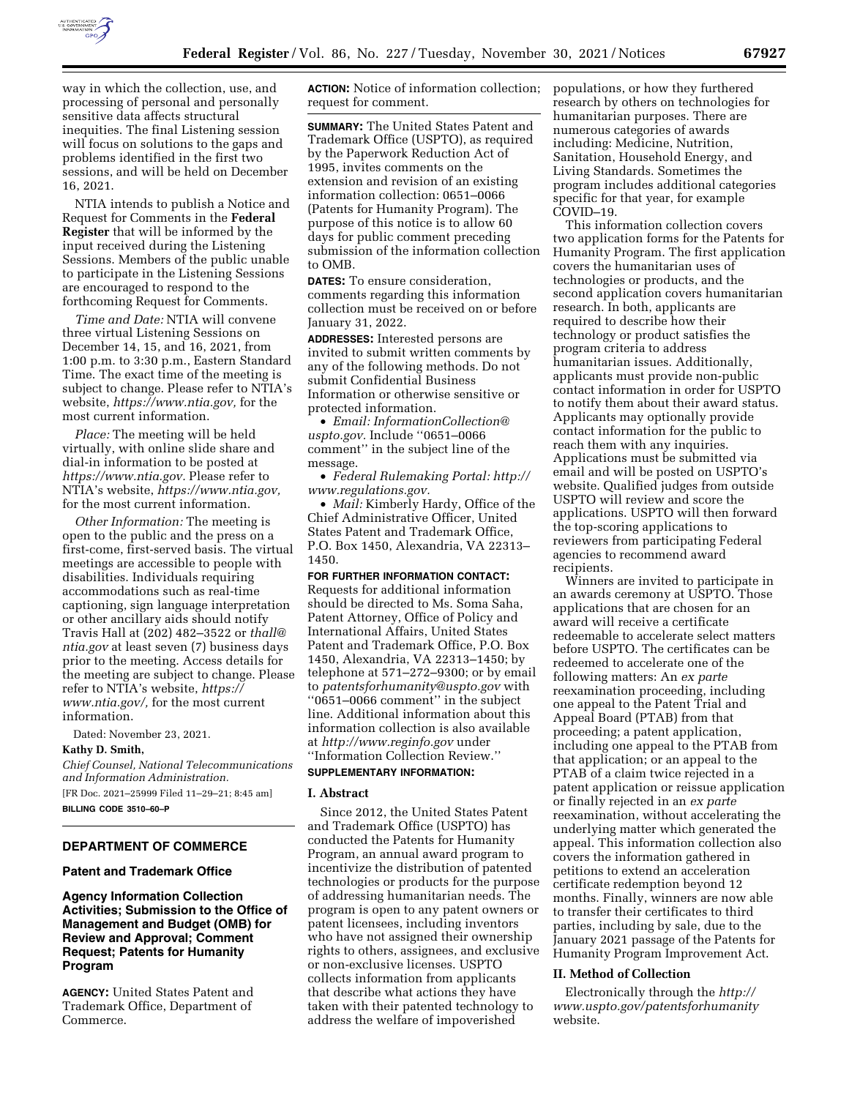

way in which the collection, use, and processing of personal and personally sensitive data affects structural inequities. The final Listening session will focus on solutions to the gaps and problems identified in the first two sessions, and will be held on December 16, 2021.

NTIA intends to publish a Notice and Request for Comments in the **Federal Register** that will be informed by the input received during the Listening Sessions. Members of the public unable to participate in the Listening Sessions are encouraged to respond to the forthcoming Request for Comments.

*Time and Date:* NTIA will convene three virtual Listening Sessions on December 14, 15, and 16, 2021, from 1:00 p.m. to 3:30 p.m., Eastern Standard Time. The exact time of the meeting is subject to change. Please refer to NTIA's website, *[https://www.ntia.gov,](https://www.ntia.gov)* for the most current information.

*Place:* The meeting will be held virtually, with online slide share and dial-in information to be posted at *[https://www.ntia.gov.](https://www.ntia.gov)* Please refer to NTIA's website, *[https://www.ntia.gov,](https://www.ntia.gov)*  for the most current information.

*Other Information:* The meeting is open to the public and the press on a first-come, first-served basis. The virtual meetings are accessible to people with disabilities. Individuals requiring accommodations such as real-time captioning, sign language interpretation or other ancillary aids should notify Travis Hall at (202) 482–3522 or *[thall@](mailto:thall@ntia.gov) [ntia.gov](mailto:thall@ntia.gov)* at least seven (7) business days prior to the meeting. Access details for the meeting are subject to change. Please refer to NTIA's website, *[https://](https://www.ntia.gov/) [www.ntia.gov/,](https://www.ntia.gov/)* for the most current information.

Dated: November 23, 2021.

#### **Kathy D. Smith,**

*Chief Counsel, National Telecommunications and Information Administration.* 

[FR Doc. 2021–25999 Filed 11–29–21; 8:45 am]

**BILLING CODE 3510–60–P** 

# **DEPARTMENT OF COMMERCE**

# **Patent and Trademark Office**

**Agency Information Collection Activities; Submission to the Office of Management and Budget (OMB) for Review and Approval; Comment Request; Patents for Humanity Program** 

**AGENCY:** United States Patent and Trademark Office, Department of Commerce.

**ACTION:** Notice of information collection; request for comment.

**SUMMARY:** The United States Patent and Trademark Office (USPTO), as required by the Paperwork Reduction Act of 1995, invites comments on the extension and revision of an existing information collection: 0651–0066 (Patents for Humanity Program). The purpose of this notice is to allow 60 days for public comment preceding submission of the information collection to OMB.

**DATES:** To ensure consideration, comments regarding this information collection must be received on or before January 31, 2022.

**ADDRESSES:** Interested persons are invited to submit written comments by any of the following methods. Do not submit Confidential Business Information or otherwise sensitive or protected information.

• *Email: [InformationCollection@](mailto:InformationCollection@uspto.gov) [uspto.gov.](mailto:InformationCollection@uspto.gov)* Include ''0651–0066 comment'' in the subject line of the message.

• *Federal Rulemaking Portal: [http://](http://www.regulations.gov) [www.regulations.gov.](http://www.regulations.gov)* 

• *Mail:* Kimberly Hardy, Office of the Chief Administrative Officer, United States Patent and Trademark Office, P.O. Box 1450, Alexandria, VA 22313– 1450.

# **FOR FURTHER INFORMATION CONTACT:**

Requests for additional information should be directed to Ms. Soma Saha, Patent Attorney, Office of Policy and International Affairs, United States Patent and Trademark Office, P.O. Box 1450, Alexandria, VA 22313–1450; by telephone at 571–272–9300; or by email to *[patentsforhumanity@uspto.gov](mailto:patentsforhumanity@uspto.gov)* with ''0651–0066 comment'' in the subject line. Additional information about this information collection is also available at *<http://www.reginfo.gov>*under ''Information Collection Review.''

#### **SUPPLEMENTARY INFORMATION:**

## **I. Abstract**

Since 2012, the United States Patent and Trademark Office (USPTO) has conducted the Patents for Humanity Program, an annual award program to incentivize the distribution of patented technologies or products for the purpose of addressing humanitarian needs. The program is open to any patent owners or patent licensees, including inventors who have not assigned their ownership rights to others, assignees, and exclusive or non-exclusive licenses. USPTO collects information from applicants that describe what actions they have taken with their patented technology to address the welfare of impoverished

populations, or how they furthered research by others on technologies for humanitarian purposes. There are numerous categories of awards including: Medicine, Nutrition, Sanitation, Household Energy, and Living Standards. Sometimes the program includes additional categories specific for that year, for example COVID–19.

This information collection covers two application forms for the Patents for Humanity Program. The first application covers the humanitarian uses of technologies or products, and the second application covers humanitarian research. In both, applicants are required to describe how their technology or product satisfies the program criteria to address humanitarian issues. Additionally, applicants must provide non-public contact information in order for USPTO to notify them about their award status. Applicants may optionally provide contact information for the public to reach them with any inquiries. Applications must be submitted via email and will be posted on USPTO's website. Qualified judges from outside USPTO will review and score the applications. USPTO will then forward the top-scoring applications to reviewers from participating Federal agencies to recommend award recipients

Winners are invited to participate in an awards ceremony at USPTO. Those applications that are chosen for an award will receive a certificate redeemable to accelerate select matters before USPTO. The certificates can be redeemed to accelerate one of the following matters: An *ex parte*  reexamination proceeding, including one appeal to the Patent Trial and Appeal Board (PTAB) from that proceeding; a patent application, including one appeal to the PTAB from that application; or an appeal to the PTAB of a claim twice rejected in a patent application or reissue application or finally rejected in an *ex parte*  reexamination, without accelerating the underlying matter which generated the appeal. This information collection also covers the information gathered in petitions to extend an acceleration certificate redemption beyond 12 months. Finally, winners are now able to transfer their certificates to third parties, including by sale, due to the January 2021 passage of the Patents for Humanity Program Improvement Act.

#### **II. Method of Collection**

Electronically through the *[http://](http://www.uspto.gov/patentsforhumanity) [www.uspto.gov/patentsforhumanity](http://www.uspto.gov/patentsforhumanity)*  website.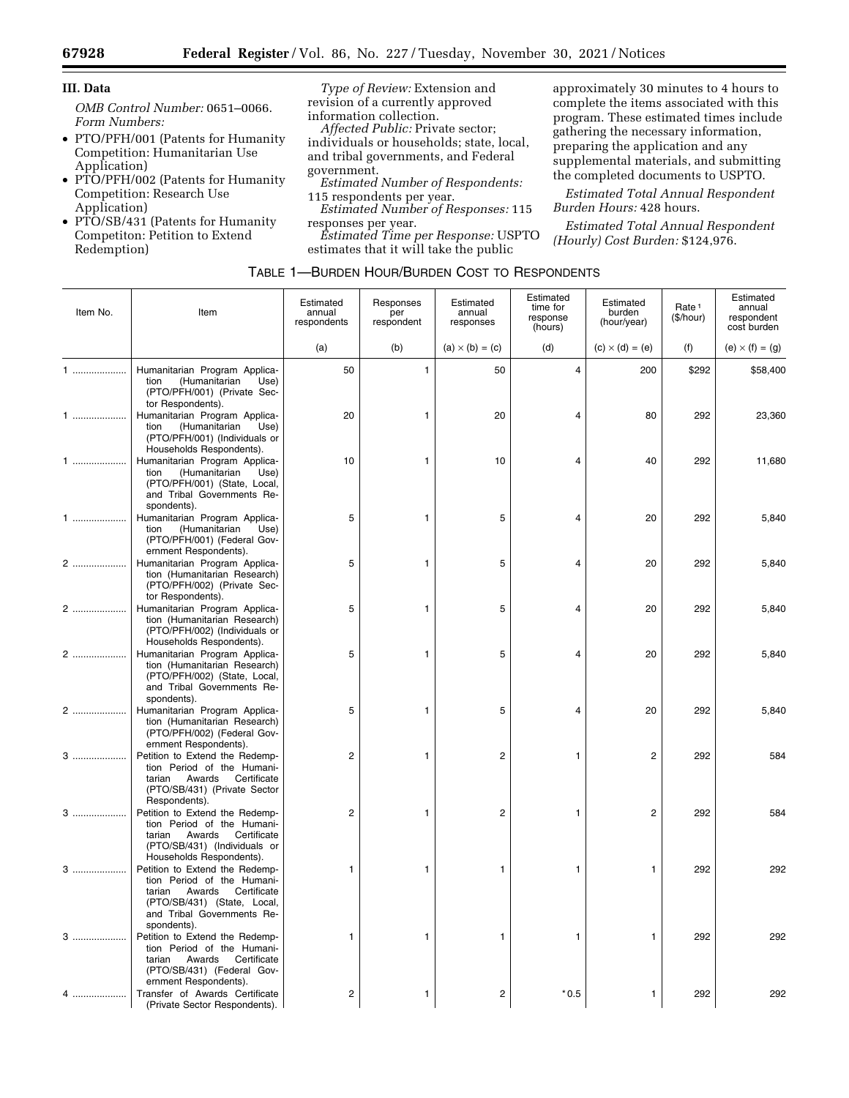Ξ

# **III. Data**

*OMB Control Number:* 0651–0066. *Form Numbers:* 

- PTO/PFH/001 (Patents for Humanity Competition: Humanitarian Use Application)
- PTO/PFH/002 (Patents for Humanity Competition: Research Use Application)
- PTO/SB/431 (Patents for Humanity Competiton: Petition to Extend Redemption)

*Type of Review:* Extension and revision of a currently approved information collection.

*Affected Public:* Private sector; individuals or households; state, local, and tribal governments, and Federal government.

- *Estimated Number of Respondents:*  115 respondents per year.
- *Estimated Number of Responses:* 115 responses per year.

*Estimated Time per Response:* USPTO estimates that it will take the public

approximately 30 minutes to 4 hours to complete the items associated with this program. These estimated times include gathering the necessary information, preparing the application and any supplemental materials, and submitting the completed documents to USPTO.

*Estimated Total Annual Respondent Burden Hours:* 428 hours.

*Estimated Total Annual Respondent (Hourly) Cost Burden:* \$124,976.

| Item No. | Item                                                                                                                                                                        | Estimated<br>annual<br>respondents | Responses<br>per<br>respondent | Estimated<br>annual<br>responses | Estimated<br>time for<br>response<br>(hours) | Estimated<br>burden<br>(hour/year) | Rate <sup>1</sup><br>(\$/hour) | Estimated<br>annual<br>respondent<br>cost burden |
|----------|-----------------------------------------------------------------------------------------------------------------------------------------------------------------------------|------------------------------------|--------------------------------|----------------------------------|----------------------------------------------|------------------------------------|--------------------------------|--------------------------------------------------|
|          |                                                                                                                                                                             | (a)                                | (b)                            | $(a) \times (b) = (c)$           | (d)                                          | $(c) \times (d) = (e)$             | (f)                            | (e) $\times$ (f) = (g)                           |
| 1        | Humanitarian Program Applica-<br>tion<br>(Humanitarian<br>Use)<br>(PTO/PFH/001) (Private Sec-<br>tor Respondents).                                                          | 50                                 | $\mathbf{1}$                   | 50                               | $\overline{4}$                               | 200                                | \$292                          | \$58,400                                         |
| 1        | Humanitarian Program Applica-<br>(Humanitarian<br>tion<br>Use)<br>(PTO/PFH/001) (Individuals or<br>Households Respondents).                                                 | 20                                 | 1                              | 20                               | 4                                            | 80                                 | 292                            | 23,360                                           |
| 1        | Humanitarian Program Applica-<br>tion<br>(Humanitarian<br>Use)<br>(PTO/PFH/001) (State, Local,<br>and Tribal Governments Re-<br>spondents).                                 | 10                                 | 1                              | 10                               | 4                                            | 40                                 | 292                            | 11,680                                           |
| 1        | Humanitarian Program Applica-<br>(Humanitarian<br>tion<br>Use)<br>(PTO/PFH/001) (Federal Gov-<br>ernment Respondents).                                                      | 5                                  | 1                              | 5                                | 4                                            | 20                                 | 292                            | 5,840                                            |
| 2        | Humanitarian Program Applica-<br>tion (Humanitarian Research)<br>(PTO/PFH/002) (Private Sec-<br>tor Respondents).                                                           | 5                                  | 1                              | 5                                | 4                                            | 20                                 | 292                            | 5,840                                            |
| 2        | Humanitarian Program Applica-<br>tion (Humanitarian Research)<br>(PTO/PFH/002) (Individuals or<br>Households Respondents).                                                  | 5                                  | 1                              | 5                                | 4                                            | 20                                 | 292                            | 5,840                                            |
| 2        | Humanitarian Program Applica-<br>tion (Humanitarian Research)<br>(PTO/PFH/002) (State, Local,<br>and Tribal Governments Re-<br>spondents).                                  | 5                                  | 1                              | 5                                | 4                                            | 20                                 | 292                            | 5,840                                            |
| 2        | Humanitarian Program Applica-<br>tion (Humanitarian Research)<br>(PTO/PFH/002) (Federal Gov-<br>ernment Respondents).                                                       | 5                                  | 1                              | 5                                | 4                                            | 20                                 | 292                            | 5,840                                            |
| 3        | Petition to Extend the Redemp-<br>tion Period of the Humani-<br>Awards<br>Certificate<br>tarian<br>(PTO/SB/431) (Private Sector<br>Respondents).                            | $\overline{c}$                     | 1                              | $\overline{2}$                   | 1                                            | $\overline{c}$                     | 292                            | 584                                              |
| 3        | Petition to Extend the Redemp-<br>tion Period of the Humani-<br>Awards<br>Certificate<br>tarian<br>(PTO/SB/431) (Individuals or<br>Households Respondents).                 | $\overline{2}$                     | 1                              | $\overline{2}$                   | 1                                            | $\overline{c}$                     | 292                            | 584                                              |
| 3        | Petition to Extend the Redemp-<br>tion Period of the Humani-<br>Awards<br>Certificate<br>tarian<br>(PTO/SB/431) (State, Local,<br>and Tribal Governments Re-<br>spondents). | 1                                  | 1                              | 1                                | 1                                            | 1                                  | 292                            | 292                                              |
| 3        | Petition to Extend the Redemp-<br>tion Period of the Humani-<br>Awards<br>Certificate<br>tarian<br>(PTO/SB/431) (Federal Gov-<br>ernment Respondents).                      | 1                                  | 1                              | 1                                | 1                                            | 1                                  | 292                            | 292                                              |
| .        | Transfer of Awards Certificate<br>(Private Sector Respondents).                                                                                                             | $\overline{c}$                     | 1                              | $\overline{2}$                   | $*0.5$                                       | 1                                  | 292                            | 292                                              |